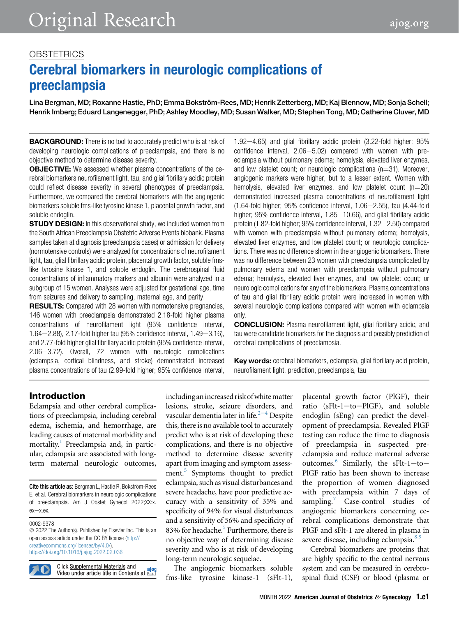### **OBSTETRICS**

# Cerebral biomarkers in neurologic complications of preeclampsia

Lina Bergman, MD; Roxanne Hastie, PhD; Emma Bokström-Rees, MD; Henrik Zetterberg, MD; Kaj Blennow, MD; Sonja Schell; Henrik Imberg; Eduard Langenegger, PhD; Ashley Moodley, MD; Susan Walker, MD; Stephen Tong, MD; Catherine Cluver, MD

**BACKGROUND:** There is no tool to accurately predict who is at risk of developing neurologic complications of preeclampsia, and there is no objective method to determine disease severity.

**OBJECTIVE:** We assessed whether plasma concentrations of the cerebral biomarkers neurofilament light, tau, and glial fibrillary acidic protein could reflect disease severity in several phenotypes of preeclampsia. Furthermore, we compared the cerebral biomarkers with the angiogenic biomarkers soluble fms-like tyrosine kinase 1, placental growth factor, and soluble endoglin.

**STUDY DESIGN:** In this observational study, we included women from the South African Preeclampsia Obstetric Adverse Events biobank. Plasma samples taken at diagnosis (preeclampsia cases) or admission for delivery (normotensive controls) were analyzed for concentrations of neurofilament light, tau, glial fibrillary acidic protein, placental growth factor, soluble fmslike tyrosine kinase 1, and soluble endoglin. The cerebrospinal fluid concentrations of inflammatory markers and albumin were analyzed in a subgroup of 15 women. Analyses were adjusted for gestational age, time from seizures and delivery to sampling, maternal age, and parity.

**RESULTS:** Compared with 28 women with normotensive pregnancies, 146 women with preeclampsia demonstrated 2.18-fold higher plasma concentrations of neurofilament light (95% confidence interval, 1.64-2.88), 2.17-fold higher tau (95% confidence interval, 1.49-3.16), and 2.77-fold higher glial fibrillary acidic protein (95% confidence interval, 2.06-3.72). Overall, 72 women with neurologic complications (eclampsia, cortical blindness, and stroke) demonstrated increased plasma concentrations of tau (2.99-fold higher; 95% confidence interval,  $1.92 - 4.65$ ) and glial fibrillary acidic protein (3.22-fold higher; 95% confidence interval,  $2.06 - 5.02$ ) compared with women with preeclampsia without pulmonary edema; hemolysis, elevated liver enzymes, and low platelet count; or neurologic complications  $(n=31)$ . Moreover, angiogenic markers were higher, but to a lesser extent. Women with hemolysis, elevated liver enzymes, and low platelet count  $(n=20)$ demonstrated increased plasma concentrations of neurofilament light  $(1.64-fold higher; 95% confidence interval, 1.06–2.55)$ , tau  $(4.44-fold)$ higher;  $95\%$  confidence interval,  $1.85-10.66$ ), and glial fibrillary acidic protein (1.82-fold higher; 95% confidence interval, 1.32-2.50) compared with women with preeclampsia without pulmonary edema; hemolysis, elevated liver enzymes, and low platelet count; or neurologic complications. There was no difference shown in the angiogenic biomarkers. There was no difference between 23 women with preeclampsia complicated by pulmonary edema and women with preeclampsia without pulmonary edema; hemolysis, elevated liver enzymes, and low platelet count; or neurologic complications for any of the biomarkers. Plasma concentrations of tau and glial fibrillary acidic protein were increased in women with several neurologic complications compared with women with eclampsia only.

CONCLUSION: Plasma neurofilament light, glial fibrillary acidic, and tau were candidate biomarkers for the diagnosis and possibly prediction of cerebral complications of preeclampsia.

Key words: cerebral biomarkers, eclampsia, glial fibrillary acid protein, neurofilament light, prediction, preeclampsia, tau

### Introduction

Eclampsia and other cerebral complications of preeclampsia, including cerebral edema, ischemia, and hemorrhage, are leading causes of maternal morbidity and mortality.<sup>[1](#page-8-0)</sup> Preeclampsia and, in particular, eclampsia are associated with longterm maternal neurologic outcomes,

Cite this article as: Bergman L, Hastie R, Bokström-Rees E, et al. Cerebral biomarkers in neurologic complications of preeclampsia. Am J Obstet Gynecol 2022;XX:x. ex-x.ex.

#### 0002-9378

 $©$  2022 The Author(s). Published by Elsevier Inc. This is an open access article under the CC BY license [\(http://](http://creativecommons.org/licenses/by/4.0/) [creativecommons.org/licenses/by/4.0/\)](http://creativecommons.org/licenses/by/4.0/). <https://doi.org/10.1016/j.ajog.2022.02.036>



Click Supplemental Materials and Video under article title in Contents at **Edition**  including an increased risk of white matter lesions, stroke, seizure disorders, and vascular d[e](#page-8-1)mentia later in life. $2-4$  Despite this, there is no available tool to accurately predict who is at risk of developing these complications, and there is no objective method to determine disease severity apart from imaging and symptom assessment.<sup>5</sup> Symptoms thought to predict eclampsia, such as visual disturbances and severe headache, have poor predictive accuracy with a sensitivity of 35% and specificity of 94% for visual disturbances and a sensitivity of 56% and specificity of 83% for headache.<sup>[5](#page-8-2)</sup> Furthermore, there is no objective way of determining disease severity and who is at risk of developing long-term neurologic sequelae.

The angiogenic biomarkers soluble fms-like tyrosine kinase-1 (sFlt-1),

placental growth factor (PlGF), their ratio (sFlt-1-to-PlGF), and soluble endoglin (sEng) can predict the development of preeclampsia. Revealed PlGF testing can reduce the time to diagnosis of preeclampsia in suspected preeclampsia and reduce maternal adverse outcomes.<sup>[6](#page-8-3)</sup> Similarly, the sFlt-1-to-PlGF ratio has been shown to increase the proportion of women diagnosed with preeclampsia within 7 days of sampling.<sup>[7](#page-8-4)</sup> Case-control studies of angiogenic biomarkers concerning cerebral complications demonstrate that PlGF and sFlt-1 are altered in plasma in severe disease, including eclampsia.<sup>[8,](#page-8-5)[9](#page-8-6)</sup>

Cerebral biomarkers are proteins that are highly specific to the central nervous system and can be measured in cerebrospinal fluid (CSF) or blood (plasma or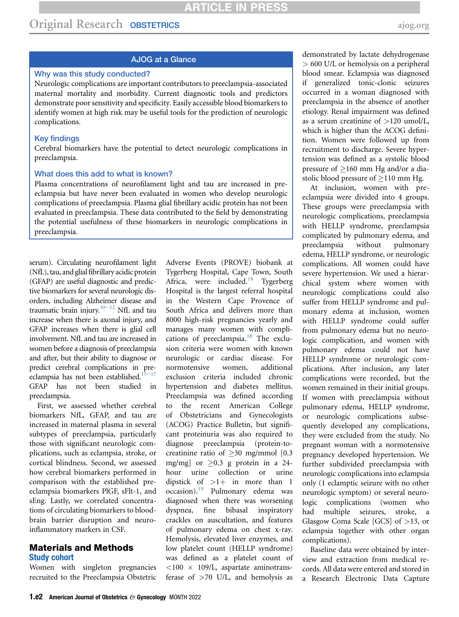#### AJOG at a Glance

#### Why was this study conducted?

Neurologic complications are important contributors to preeclampsia-associated maternal mortality and morbidity. Current diagnostic tools and predictors demonstrate poor sensitivity and specificity. Easily accessible blood biomarkers to identify women at high risk may be useful tools for the prediction of neurologic complications.

#### Key findings

Cerebral biomarkers have the potential to detect neurologic complications in preeclampsia.

#### What does this add to what is known?

Plasma concentrations of neurofilament light and tau are increased in preeclampsia but have never been evaluated in women who develop neurologic complications of preeclampsia. Plasma glial fibrillary acidic protein has not been evaluated in preeclampsia. These data contributed to the field by demonstrating the potential usefulness of these biomarkers in neurologic complications in preeclampsia.

serum). Circulating neurofilament light (NfL), tau, and glial fibrillary acidic protein (GFAP) are useful diagnostic and predictive biomarkers for several neurologic disorders, including Alzheimer disease and traumatic brain injury. $10-12$  NfL and tau increase when there is axonal injury, and GFAP increases when there is glial cell involvement. NfL and tau are increased in women before a diagnosis of preeclampsia and after, but their ability to diagnose or predict cerebral complications in preeclampsia has not been established. $13-17$ GFAP has not been studied in preeclampsia.

First, we assessed whether cerebral biomarkers NfL, GFAP, and tau are increased in maternal plasma in several subtypes of preeclampsia, particularly those with significant neurologic complications, such as eclampsia, stroke, or cortical blindness. Second, we assessed how cerebral biomarkers performed in comparison with the established preeclampsia biomarkers PlGF, sFlt-1, and sEng. Lastly, we correlated concentrations of circulating biomarkers to bloodbrain barrier disruption and neuroinflammatory markers in CSF.

#### Materials and Methods Study cohort

Women with singleton pregnancies recruited to the Preeclampsia Obstetric Adverse Events (PROVE) biobank at Tygerberg Hospital, Cape Town, South Africa, were included. $18$  Tygerberg Hospital is the largest referral hospital in the Western Cape Provence of South Africa and delivers more than 8000 high-risk pregnancies yearly and manages many women with compli-cations of preeclampsia.<sup>[18](#page-8-9)</sup> The exclusion criteria were women with known neurologic or cardiac disease. For normotensive women, additional exclusion criteria included chronic hypertension and diabetes mellitus. Preeclampsia was defined according to the recent American College of Obstetricians and Gynecologists (ACOG) Practice Bulletin, but significant proteinuria was also required to diagnose preeclampsia (protein-tocreatinine ratio of  $\geq$ 30 mg/mmol [0.3 mg/mg] or  $\geq 0.3$  g protein in a 24hour urine collection or urine dipstick of  $>1+$  in more than 1 occasion).<sup>[19](#page-9-0)</sup> Pulmonary edema was diagnosed when there was worsening dyspnea, fine bibasal inspiratory crackles on auscultation, and features of pulmonary edema on chest x-ray. Hemolysis, elevated liver enzymes, and low platelet count (HELLP syndrome) was defined as a platelet count of  $<$ 100  $\times$  109/L, aspartate aminotransferase of  $>70$  U/L, and hemolysis as

demonstrated by lactate dehydrogenase > 600 U/L or hemolysis on a peripheral blood smear. Eclampsia was diagnosed if generalized tonic-clonic seizures occurred in a woman diagnosed with preeclampsia in the absence of another etiology. Renal impairment was defined as a serum creatinine of  $>120$  umol/L, which is higher than the ACOG definition. Women were followed up from recruitment to discharge. Severe hypertension was defined as a systolic blood pressure of  $\geq$ 160 mm Hg and/or a diastolic blood pressure of  $\geq$ 110 mm Hg.

At inclusion, women with preeclampsia were divided into 4 groups. These groups were preeclampsia with neurologic complications, preeclampsia with HELLP syndrome, preeclampsia complicated by pulmonary edema, and preeclampsia without pulmonary edema, HELLP syndrome, or neurologic complications. All women could have severe hypertension. We used a hierarchical system where women with neurologic complications could also suffer from HELLP syndrome and pulmonary edema at inclusion, women with HELLP syndrome could suffer from pulmonary edema but no neurologic complication, and women with pulmonary edema could not have HELLP syndrome or neurologic complications. After inclusion, any later complications were recorded, but the women remained in their initial groups. If women with preeclampsia without pulmonary edema, HELLP syndrome, or neurologic complications subsequently developed any complications, they were excluded from the study. No pregnant woman with a normotensive pregnancy developed hypertension. We further subdivided preeclampsia with neurologic complications into eclampsia only (1 eclamptic seizure with no other neurologic symptom) or several neurologic complications (women who had multiple seizures, stroke, a Glasgow Coma Scale [GCS] of >13, or eclampsia together with other organ complications).

Baseline data were obtained by interview and extraction from medical records. All data were entered and stored in a Research Electronic Data Capture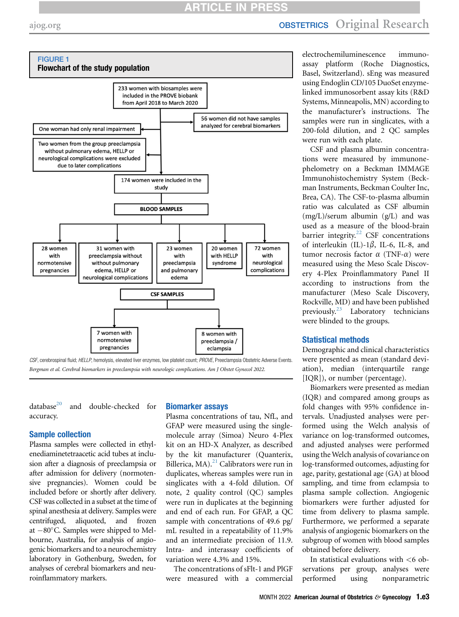## **ATICLE IN PRES**

## [ajog.org](http://www.AJOG.org) **OBSTETRICS** Original Research

<span id="page-2-0"></span>

 $database^{20}$  $database^{20}$  $database^{20}$  and double-checked for accuracy.

#### Sample collection

Plasma samples were collected in ethylenediaminetetraacetic acid tubes at inclusion after a diagnosis of preeclampsia or after admission for delivery (normotensive pregnancies). Women could be included before or shortly after delivery. CSF was collected in a subset at the time of spinal anesthesia at delivery. Samples were centrifuged, aliquoted, and frozen at  $-80^{\circ}$ C. Samples were shipped to Melbourne, Australia, for analysis of angiogenic biomarkers and to a neurochemistry laboratory in Gothenburg, Sweden, for analyses of cerebral biomarkers and neuroinflammatory markers.

#### Biomarker assays

Plasma concentrations of tau, NfL, and GFAP were measured using the singlemolecule array (Simoa) Neuro 4-Plex kit on an HD-X Analyzer, as described by the kit manufacturer (Quanterix, Billerica, MA).<sup>[21](#page-9-2)</sup> Calibrators were run in duplicates, whereas samples were run in singlicates with a 4-fold dilution. Of note, 2 quality control (QC) samples were run in duplicates at the beginning and end of each run. For GFAP, a QC sample with concentrations of 49.6 pg/ mL resulted in a repeatability of 11.9% and an intermediate precision of 11.9. Intra- and interassay coefficients of variation were 4.3% and 15%.

The concentrations of sFlt-1 and PlGF were measured with a commercial

electrochemiluminescence immunoassay platform (Roche Diagnostics, Basel, Switzerland). sEng was measured using Endoglin CD/105 DuoSet enzymelinked immunosorbent assay kits (R&D Systems, Minneapolis, MN) according to the manufacturer's instructions. The samples were run in singlicates, with a 200-fold dilution, and 2 QC samples were run with each plate.

CSF and plasma albumin concentrations were measured by immunonephelometry on a Beckman IMMAGE Immunohistochemistry System (Beckman Instruments, Beckman Coulter Inc, Brea, CA). The CSF-to-plasma albumin ratio was calculated as CSF albumin (mg/L)/serum albumin (g/L) and was used as a measure of the blood-brain barrier integrity.<sup>22</sup> CSF concentrations of interleukin (IL)-1 $\beta$ , IL-6, IL-8, and tumor necrosis factor  $\alpha$  (TNF- $\alpha$ ) were measured using the Meso Scale Discovery 4-Plex Proinflammatory Panel II according to instructions from the manufacturer (Meso Scale Discovery, Rockville, MD) and have been published previously[.23](#page-9-4) Laboratory technicians were blinded to the groups.

#### Statistical methods

Demographic and clinical characteristics were presented as mean (standard deviation), median (interquartile range [IQR]), or number (percentage).

Biomarkers were presented as median (IQR) and compared among groups as fold changes with 95% confidence intervals. Unadjusted analyses were performed using the Welch analysis of variance on log-transformed outcomes, and adjusted analyses were performed using the Welch analysis of covariance on log-transformed outcomes, adjusting for age, parity, gestational age (GA) at blood sampling, and time from eclampsia to plasma sample collection. Angiogenic biomarkers were further adjusted for time from delivery to plasma sample. Furthermore, we performed a separate analysis of angiogenic biomarkers on the subgroup of women with blood samples obtained before delivery.

In statistical evaluations with <6 observations per group, analyses were performed using nonparametric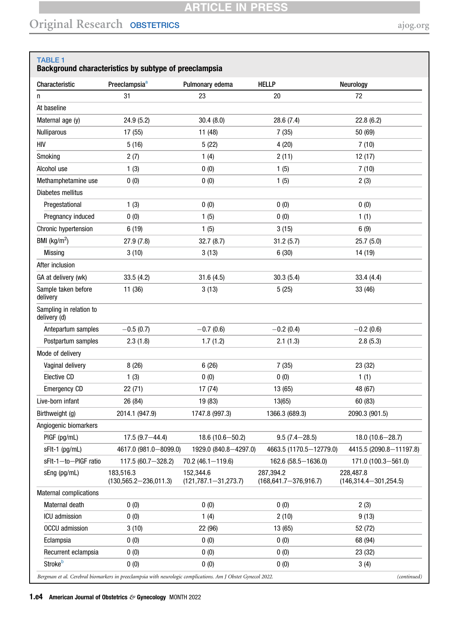## **ARTICLE IN PRESS**

## Original Research OBSTETRICS [ajog.org](http://www.AJOG.org)

#### <span id="page-3-0"></span>TABLE 1 Background characteristics by subtype of preeclampsia

| Characteristic                          | Preeclampsia <sup>a</sup>                                                                                   | Pulmonary edema                         | <b>HELLP</b>                             | Neurology                                |
|-----------------------------------------|-------------------------------------------------------------------------------------------------------------|-----------------------------------------|------------------------------------------|------------------------------------------|
| n                                       | 31                                                                                                          | 23                                      | 20                                       | 72                                       |
| At baseline                             |                                                                                                             |                                         |                                          |                                          |
| Maternal age (y)                        | 24.9 (5.2)                                                                                                  | 30.4(8.0)                               | 28.6 (7.4)                               | 22.8(6.2)                                |
| <b>Nulliparous</b>                      | 17 (55)                                                                                                     | 11 (48)                                 | 7(35)                                    | 50 (69)                                  |
| <b>HIV</b>                              | 5(16)                                                                                                       | 5(22)                                   | 4(20)                                    | 7(10)                                    |
| Smoking                                 | 2(7)                                                                                                        | 1(4)                                    | 2(11)                                    | 12(17)                                   |
| Alcohol use                             | 1(3)                                                                                                        | 0(0)                                    | 1(5)                                     | 7(10)                                    |
| Methamphetamine use                     | 0(0)                                                                                                        | 0(0)                                    | 1(5)                                     | 2(3)                                     |
| Diabetes mellitus                       |                                                                                                             |                                         |                                          |                                          |
| Pregestational                          | 1(3)                                                                                                        | 0(0)                                    | 0(0)                                     | 0(0)                                     |
| Pregnancy induced                       | 0(0)                                                                                                        | 1(5)                                    | 0(0)                                     | 1(1)                                     |
| Chronic hypertension                    | 6(19)                                                                                                       | 1(5)                                    | 3(15)                                    | 6(9)                                     |
| BMI ( $\text{kg/m}^2$ )                 | 27.9(7.8)                                                                                                   | 32.7(8.7)                               | 31.2(5.7)                                | 25.7(5.0)                                |
| <b>Missing</b>                          | 3(10)                                                                                                       | 3(13)                                   | 6(30)                                    | 14 (19)                                  |
| After inclusion                         |                                                                                                             |                                         |                                          |                                          |
| GA at delivery (wk)                     | 33.5(4.2)                                                                                                   | 31.6(4.5)                               | 30.3(5.4)                                | 33.4(4.4)                                |
| Sample taken before<br>delivery         | 11 (36)                                                                                                     | 3(13)                                   | 5(25)                                    | 33 (46)                                  |
| Sampling in relation to<br>delivery (d) |                                                                                                             |                                         |                                          |                                          |
| Antepartum samples                      | $-0.5(0.7)$                                                                                                 | $-0.7(0.6)$                             | $-0.2(0.4)$                              | $-0.2(0.6)$                              |
| Postpartum samples                      | 2.3(1.8)                                                                                                    | 1.7(1.2)                                | 2.1(1.3)                                 | 2.8(5.3)                                 |
| Mode of delivery                        |                                                                                                             |                                         |                                          |                                          |
| Vaginal delivery                        | 8(26)                                                                                                       | 6(26)                                   | 7(35)                                    | 23 (32)                                  |
| Elective CD                             | 1(3)                                                                                                        | 0(0)                                    | 0(0)                                     | 1(1)                                     |
| <b>Emergency CD</b>                     | 22(71)                                                                                                      | 17(74)                                  | 13 (65)                                  | 48 (67)                                  |
| Live-born infant                        | 26 (84)                                                                                                     | 19 (83)                                 | 13(65)                                   | 60 (83)                                  |
| Birthweight (g)                         | 2014.1 (947.9)                                                                                              | 1747.8 (997.3)                          | 1366.3 (689.3)                           | 2090.3 (901.5)                           |
| Angiogenic biomarkers                   |                                                                                                             |                                         |                                          |                                          |
| PIGF (pg/mL)                            | $17.5(9.7 - 44.4)$                                                                                          | $18.6(10.6 - 50.2)$                     | $9.5(7.4 - 28.5)$                        | $18.0(10.6 - 28.7)$                      |
| sFlt-1 (pg/mL)                          | 4617.0 (981.0 - 8099.0)                                                                                     | 1929.0 (840.8-4297.0)                   | 4663.5 (1170.5-12779.0)                  | 4415.5 (2090.8-11197.8)                  |
| sFIt-1-to-PIGF ratio                    | 117.5 (60.7-328.2)                                                                                          | $70.2(46.1 - 119.6)$                    | $162.6(58.5 - 1636.0)$                   | 171.0 (100.3-561.0)                      |
| sEng (pg/mL)                            | 183,516.3<br>$(130, 565.2 - 236, 011.3)$                                                                    | 152,344.6<br>$(121, 787.1 - 31, 273.7)$ | 287,394.2<br>$(168, 641.7 - 376, 916.7)$ | 228,487.8<br>$(146, 314.4 - 301, 254.5)$ |
| <b>Maternal complications</b>           |                                                                                                             |                                         |                                          |                                          |
| Maternal death                          | 0(0)                                                                                                        | 0(0)                                    | 0(0)                                     | 2(3)                                     |
| ICU admission                           | 0(0)                                                                                                        | 1(4)                                    | 2(10)                                    | 9(13)                                    |
| <b>OCCU</b> admission                   | 3(10)                                                                                                       | 22 (96)                                 | 13 (65)                                  | 52 (72)                                  |
| Eclampsia                               | 0(0)                                                                                                        | 0(0)                                    | 0(0)                                     | 68 (94)                                  |
| Recurrent eclampsia                     | 0(0)                                                                                                        | 0(0)                                    | 0(0)                                     | 23 (32)                                  |
| Strokeb                                 | 0(0)                                                                                                        | 0(0)                                    | 0(0)                                     | 3(4)                                     |
|                                         | Bergman et al. Cerebral biomarkers in preeclampsia with neurologic complications. Am J Obstet Gynecol 2022. |                                         |                                          | (continued)                              |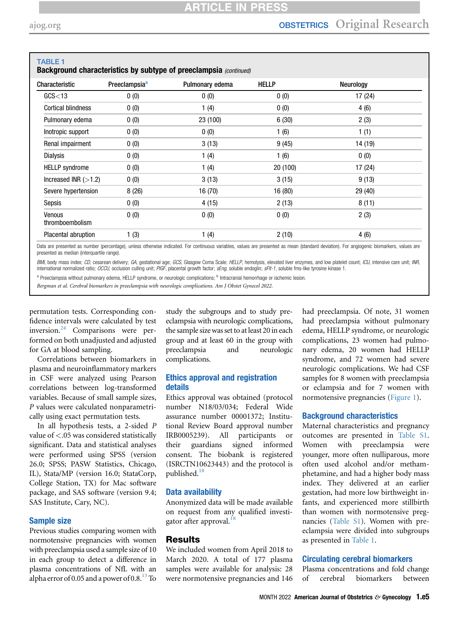| <b>TABLE 1</b>            |                           | Background characteristics by subtype of preeclampsia (continued) |              |           |
|---------------------------|---------------------------|-------------------------------------------------------------------|--------------|-----------|
| Characteristic            | Preeclampsia <sup>a</sup> | Pulmonary edema                                                   | <b>HELLP</b> | Neurology |
| GCS<13                    | 0(0)                      | 0(0)                                                              | 0(0)         | 17 (24)   |
| <b>Cortical blindness</b> | 0(0)                      | 1(4)                                                              | 0(0)         | 4(6)      |
| Pulmonary edema           | 0(0)                      | 23 (100)                                                          | 6(30)        | 2(3)      |
| Inotropic support         | 0(0)                      | 0(0)                                                              | 1(6)         | 1(1)      |
| Renal impairment          | 0(0)                      | 3(13)                                                             | 9(45)        | 14 (19)   |
| <b>Dialysis</b>           | 0(0)                      | 1(4)                                                              | 1(6)         | 0(0)      |
| <b>HELLP</b> syndrome     | 0(0)                      | 1(4)                                                              | 20 (100)     | 17 (24)   |
| Increased INR $(>1.2)$    | 0(0)                      | 3(13)                                                             | 3(15)        | 9(13)     |
| Severe hypertension       | 8(26)                     | 16(70)                                                            | 16 (80)      | 29 (40)   |
| Sepsis                    | 0(0)                      | 4 (15)                                                            | 2(13)        | 8(11)     |
| Venous<br>thromboembolism | 0(0)                      | 0(0)                                                              | 0(0)         | 2(3)      |
| Placental abruption       | 1(3)                      | 1(4)                                                              | 2(10)        | 4(6)      |

Data are presented as number (percentage), unless otherwise indicated. For continuous variables, values are presented as mean (standard deviation). For angiogenic biomarkers, values are presented as median (interquartile range).

BMI, body mass index; CD, cesarean delivery; GA, gestational age; GCS, Glasgow Coma Scale; HELLP, hemolysis, elevated liver enzymes, and low platelet count; ICU, intensive care unit; INR, international normalized ratio; OCCU, occlusion culling unit; PIGF, placental growth factor; sEng, soluble endoglin; sFlt-1, soluble fms-like tyrosine kinase 1.

<span id="page-4-0"></span>a Preeclampsia without pulmonary edema, HELLP syndrome, or neurologic complications; <sup>b</sup> Intracranial hemorrhage or ischemic lesion.

Bergman et al. Cerebral biomarkers in preeclampsia with neurologic complications. Am J Obstet Gynecol 2022.

permutation tests. Corresponding confidence intervals were calculated by test inversion.<sup>[24](#page-9-5)</sup> Comparisons were performed on both unadjusted and adjusted for GA at blood sampling.

Correlations between biomarkers in plasma and neuroinflammatory markers in CSF were analyzed using Pearson correlations between log-transformed variables. Because of small sample sizes, P values were calculated nonparametrically using exact permutation tests.

In all hypothesis tests, a 2-sided P value of <.05 was considered statistically significant. Data and statistical analyses were performed using SPSS (version 26.0; SPSS; PASW Statistics, Chicago, IL), Stata/MP (version 16.0; StataCorp, College Station, TX) for Mac software package, and SAS software (version 9.4; SAS Institute, Cary, NC).

#### Sample size

Previous studies comparing women with normotensive pregnancies with women with preeclampsia used a sample size of 10 in each group to detect a difference in plasma concentrations of NfL with an alpha error of 0.05 and a power of 0.8. $^{13}$  To

study the subgroups and to study preeclampsia with neurologic complications, the sample size was set to at least 20 in each group and at least 60 in the group with preeclampsia and neurologic complications.

#### Ethics approval and registration details

Ethics approval was obtained (protocol number N18/03/034; Federal Wide assurance number 00001372; Institutional Review Board approval number IRB0005239). All participants or their guardians signed informed consent. The biobank is registered (ISRCTN10623443) and the protocol is published.<sup>[18](#page-8-9)</sup>

#### Data availability

Anonymized data will be made available on request from any qualified investi-gator after approval.<sup>[18](#page-8-9)</sup>

### **Results**

We included women from April 2018 to March 2020. A total of 177 plasma samples were available for analysis: 28 were normotensive pregnancies and 146 had preeclampsia. Of note, 31 women had preeclampsia without pulmonary edema, HELLP syndrome, or neurologic complications, 23 women had pulmonary edema, 20 women had HELLP syndrome, and 72 women had severe neurologic complications. We had CSF samples for 8 women with preeclampsia or eclampsia and for 7 women with normotensive pregnancies [\(Figure 1\)](#page-2-0).

#### Background characteristics

Maternal characteristics and pregnancy outcomes are presented in Table S1. Women with preeclampsia were younger, more often nulliparous, more often used alcohol and/or methamphetamine, and had a higher body mass index. They delivered at an earlier gestation, had more low birthweight infants, and experienced more stillbirth than women with normotensive pregnancies (Table S1). Women with preeclampsia were divided into subgroups as presented in [Table 1](#page-3-0).

#### Circulating cerebral biomarkers

Plasma concentrations and fold change of cerebral biomarkers between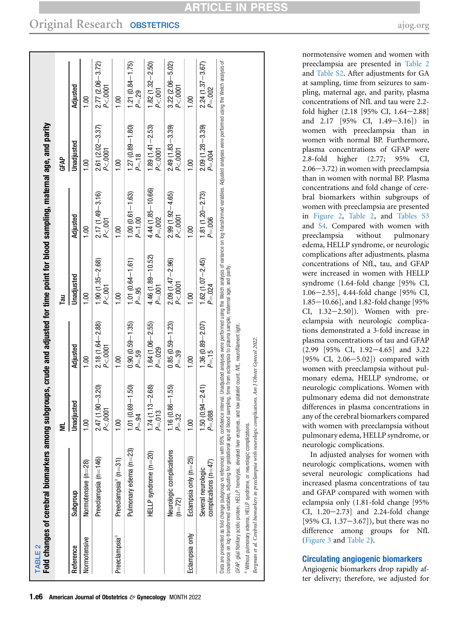<span id="page-5-0"></span>

| TABLE <sub>2</sub>        | Fold changes of cerebral biomarkers among sul                                                                                                                                                                                                                                                                    |                                                              |                                                                          | bgroups, crude and adjusted for time point for blood sampling, maternal age, and parity |                                     |                                     |                                    |
|---------------------------|------------------------------------------------------------------------------------------------------------------------------------------------------------------------------------------------------------------------------------------------------------------------------------------------------------------|--------------------------------------------------------------|--------------------------------------------------------------------------|-----------------------------------------------------------------------------------------|-------------------------------------|-------------------------------------|------------------------------------|
|                           |                                                                                                                                                                                                                                                                                                                  | ž                                                            |                                                                          | Гāи                                                                                     |                                     | GFAP                                |                                    |
| Reference                 | Subgroup                                                                                                                                                                                                                                                                                                         | usted<br>Unadjı                                              | Adjusted                                                                 | Unadjusted                                                                              | Adjusted                            | Unadjusted                          | Adjusted                           |
| Normotensive              | Normotensive (n=28)                                                                                                                                                                                                                                                                                              | $\frac{8}{1}$                                                | $\frac{100}{1}$                                                          | $\frac{8}{100}$                                                                         | $\frac{0}{1}$                       | $\frac{0}{1}$                       | $\frac{0}{1}$                      |
|                           | Preeclampsia (n=146)                                                                                                                                                                                                                                                                                             | $1.90 - 3.20$<br>$\overline{a}$<br>$P<\overline{0}$<br>2.47( | $2.18(1.64 - 2.88)$<br>P < 0001                                          | $1.90(1.35 - 2.68)$<br>P < .001                                                         | $2.17(1.49 - 3.16)$<br>$P < 001$    | $2.61 (2.02 - 3.37)$<br>$P < .0001$ | $2.77(2.06 - 3.72)$<br>$P < .0001$ |
| Preeclampsia <sup>a</sup> | Preeclampsia <sup>a</sup> (n=31)                                                                                                                                                                                                                                                                                 | $\frac{8}{1}$                                                | 1.00                                                                     | $\frac{100}{1}$                                                                         | $\frac{8}{10}$                      | $\frac{8}{10}$                      | $\frac{100}{1}$                    |
|                           | Pulmonary edema (n=23)                                                                                                                                                                                                                                                                                           | $0.69 - 1.50$<br>$P = .94$<br>$\frac{1}{1}$ .01              | $0.90(0.59 - 1.35)$<br>$P = .59$                                         | $1.01(0.64 - 1.61)$<br>$P = .95$                                                        | 1.00 (0.61-1.63)<br>$P=1.00$        | $1.27(0.89 - 1.80)$<br>$P = 18$     | 1.21 (0.84-1.75)<br>P=.29          |
|                           | HELLP syndrome (n=20)                                                                                                                                                                                                                                                                                            | $1.74(1.13 - 2.68)$<br>S<br>$P = 01$                         | $1.64(1.06 - 2.55)$<br>$P = 0.029$                                       | 4.46 (1.89-10.52)<br>$P = .001$                                                         | $4.44(1.85 - 10.66)$<br>$P = 0.002$ | 1.89 (1.41 $-2.53$ )<br>$P < 0001$  | $1.82(1.32 - 2.50)$<br>P < .001    |
|                           | Neurologic complications<br>$(n=72)$                                                                                                                                                                                                                                                                             | $0.86 - 1.55$<br>$P = 32$<br>116(                            | $0.85(0.59 - 1.23)$<br>$P = 39$                                          | $2.09(1.47 - 2.96)$<br>P<.0001                                                          | $2.99(1.92 - 4.65)$<br>P < 0001     | $2.49(1.83 - 3.39)$<br>P < 0001     | $3.22(2.06 - 5.02)$<br>P < .0001   |
| Eclampsia only            | Eclampsia only (n=25)                                                                                                                                                                                                                                                                                            | $\frac{00}{1}$                                               | $\frac{100}{1}$                                                          | $\frac{00}{1}$                                                                          | $\frac{8}{100}$                     | $\frac{0}{1}$                       | $\frac{8}{100}$                    |
|                           | complications (n=47)<br>Several neurologic                                                                                                                                                                                                                                                                       | $(0.94 - 2.41)$<br>P=.088<br>1.50(                           | $1.36(0.89 - 2.07)$<br>$P = 15$                                          | $1.62(1.07 - 2.45)$<br>P=.024                                                           | $1.81(1.20 - 2.73)$<br>$P = .006$   | $2.09(1.28 - 3.39)$<br>$P = 0.004$  | $2.24(1.37 - 3.67)$<br>$P = .002$  |
|                           | Data are presented as fold change (subgroup vs reference) with 95% confidence interval. Unadjusted analysis of enrighted hand welch analysis of variance on log-transformed variables. Adjusted analyses were performed using<br>covariance on log-transformed variables, adjusting for gestational age at blood |                                                              | sampling, time from eclampsia to plasma sample, maternal age, and parity |                                                                                         |                                     |                                     |                                    |
|                           | GFAP, gilal fibrillary acidic protein; HELLP, hemolysis, elevated liver enzymes, and low platelet count; M/L, neurofilament light                                                                                                                                                                                |                                                              |                                                                          |                                                                                         |                                     |                                     |                                    |
|                           | <sup>a</sup> Without pulmonary edema, HELLP syndrome, or neurologic complications.                                                                                                                                                                                                                               |                                                              |                                                                          |                                                                                         |                                     |                                     |                                    |

Original Research OBSTETRICS [ajog.org](http://www.AJOG.org)

<span id="page-5-1"></span>preeclampsia are presented in [Table 2](#page-5-0) and Table S2. After adjustments for GA at sampling, time from seizures to sampling, maternal age, and parity, plasma concentrations of NfL and tau were 2.2 fold higher (2.18 [95% CI, 1.64-2.88] and  $2.17$  [95% CI,  $1.49 - 3.16$ ]) in women with preeclampsia than in women with normal BP. Furthermore, plasma concentrations of GFAP were 2.8-fold higher (2.77; 95% CI,  $2.06 - 3.72$ ) in women with preeclampsia than in women with normal BP. Plasma concentrations and fold change of cerebral biomarkers within subgroups of women with preeclampsia are presented in [Figure 2](#page-6-0), [Table 2,](#page-5-0) and Tables S3 and S4. Compared with women with preeclampsia without pulmonary edema, HELLP syndrome, or neurologic complications after adjustments, plasma concentrations of NfL, tau, and GFAP were increased in women with HELLP syndrome (1.64-fold change [95% CI, 1.06-2.55], 4.44-fold change [95% CI,  $1.85 - 10.66$ ], and 1.82-fold change [95%] CI,  $1.32-2.50$ ]). Women with preeclampsia with neurologic complications demonstrated a 3-fold increase in plasma concentrations of tau and GFAP  $(2.99 \ [95\% \ CI, 1.92-4.65]$  and 3.22  $[95\% \text{ CI}, 2.06 - 5.02]$  compared with women with preeclampsia without pulmonary edema, HELLP syndrome, or neurologic complications. Women with pulmonary edema did not demonstrate differences in plasma concentrations in any of the cerebral biomarkers compared with women with preeclampsia without pulmonary edema, HELLP syndrome, or

normotensive women and women with

In adjusted analyses for women with neurologic complications, women with several neurologic complications had increased plasma concentrations of tau and GFAP compared with women with eclampsia only (1.81-fold change [95%  $CI, 1.20-2.73$ ] and 2.24-fold change [95% CI,  $1.37-3.67$ ]), but there was no difference among groups for NfL [\(Figure 3](#page-7-0) and [Table 2\)](#page-5-0).

neurologic complications.

Bergman et al. Cerebral biomarkers in preeclampsia with neurologic complications. Am J Obstet Gynecol 2022.

Bergman et al. Cerebral biomarkers in preeclampsia with neurologic complications. Am J Obstet Gynecol 2022

### Circulating angiogenic biomarkers

Angiogenic biomarkers drop rapidly after delivery; therefore, we adjusted for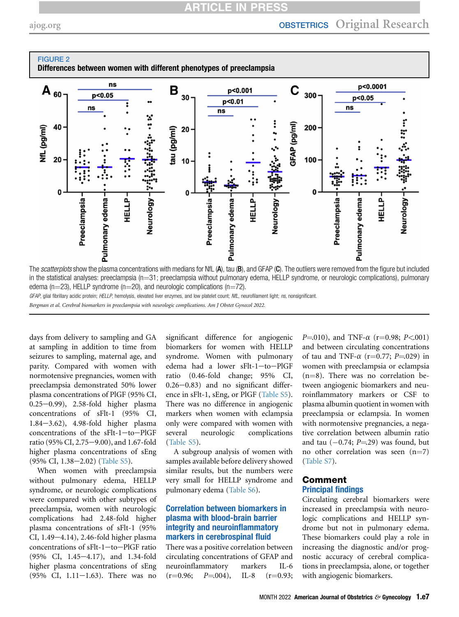## **ARTICLE IN PRES**

<span id="page-6-0"></span>

GFAP, glial fibrillary acidic protein; HELLP, hemolysis, elevated liver enzymes, and low platelet count; NfL, neurofilament light; ns, nonsignificant.

Bergman et al. Cerebral biomarkers in preeclampsia with neurologic complications. Am J Obstet Gynecol 2022.

days from delivery to sampling and GA at sampling in addition to time from seizures to sampling, maternal age, and parity. Compared with women with normotensive pregnancies, women with preeclampsia demonstrated 50% lower plasma concentrations of PlGF (95% CI,  $0.25-0.99$ ), 2.58-fold higher plasma concentrations of sFlt-1 (95% CI,  $1.84-3.62$ ),  $4.98-fold higher plasma$ concentrations of the  $sFlt-1$ -to-PlGF ratio (95% CI, 2.75-9.00), and 1.67-fold higher plasma concentrations of sEng (95% CI, 1.38-2.02) (Table S5).

When women with preeclampsia without pulmonary edema, HELLP syndrome, or neurologic complications were compared with other subtypes of preeclampsia, women with neurologic complications had 2.48-fold higher plasma concentrations of sFlt-1 (95% CI,  $1.49-4.14$ ),  $2.46$ -fold higher plasma concentrations of sFlt-1-to-PlGF ratio (95% CI, 1.45-4.17), and 1.34-fold higher plasma concentrations of sEng  $(95\% \text{ CI}, 1.11-1.63)$ . There was no

significant difference for angiogenic biomarkers for women with HELLP syndrome. Women with pulmonary edema had a lower sFlt-1-to-PlGF ratio (0.46-fold change; 95% CI,  $0.26 - 0.83$ ) and no significant difference in sFlt-1, sEng, or PlGF (Table S5). There was no difference in angiogenic markers when women with eclampsia only were compared with women with several neurologic complications (Table S5).

A subgroup analysis of women with samples available before delivery showed similar results, but the numbers were very small for HELLP syndrome and pulmonary edema (Table S6).

#### Correlation between biomarkers in plasma with blood-brain barrier integrity and neuroinflammatory markers in cerebrospinal fluid

There was a positive correlation between circulating concentrations of GFAP and neuroinflammatory markers IL-6  $(r=0.96; P=.004)$ , IL-8  $(r=0.93;$ 

 $P=010$ ), and TNF- $\alpha$  (r=0.98; P<.001) and between circulating concentrations of tau and TNF- $\alpha$  (r=0.77; P=.029) in women with preeclampsia or eclampsia  $(n=8)$ . There was no correlation between angiogenic biomarkers and neuroinflammatory markers or CSF to plasma albumin quotient in women with preeclampsia or eclampsia. In women with normotensive pregnancies, a negative correlation between albumin ratio and tau  $(-0.74; P = 29)$  was found, but no other correlation was seen  $(n=7)$ (Table S7).

#### Comment Principal findings

Circulating cerebral biomarkers were increased in preeclampsia with neurologic complications and HELLP syndrome but not in pulmonary edema. These biomarkers could play a role in increasing the diagnostic and/or prognostic accuracy of cerebral complications in preeclampsia, alone, or together with angiogenic biomarkers.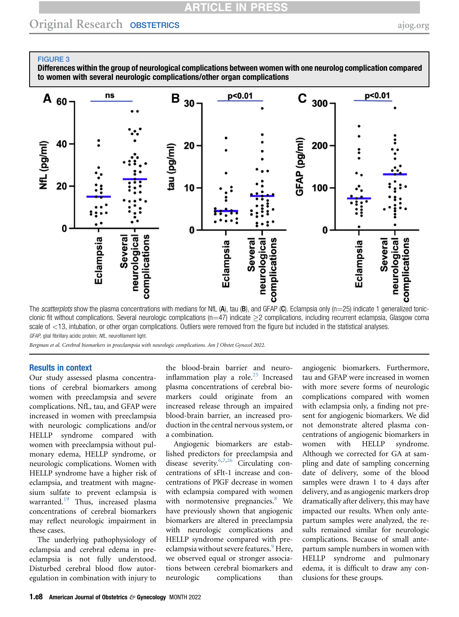## **ARTICLE IN PRESS**

## Original Research OBSTETRICS [ajog.org](http://www.AJOG.org)

#### <span id="page-7-0"></span>FIGURE 3

Differences within the group of neurological complications between women with one neurolog complication compared to women with several neurologic complications/other organ complications



The scatterplots show the plasma concentrations with medians for NfL (A), tau (B), and GFAP (C). Eclampsia only ( $n=25$ ) indicate 1 generalized tonicclonic fit without complications. Several neurologic complications (n=47) indicate  $\geq$ 2 complications, including recurrent eclampsia, Glasgow coma scale of <13, intubation, or other organ complications. Outliers were removed from the figure but included in the statistical analyses. GFAP, glial fibrillary acidic protein; NfL, neurofilament light.

Bergman et al. Cerebral biomarkers in preeclampsia with neurologic complications. Am J Obstet Gynecol 2022.

#### Results in context

Our study assessed plasma concentrations of cerebral biomarkers among women with preeclampsia and severe complications. NfL, tau, and GFAP were increased in women with preeclampsia with neurologic complications and/or HELLP syndrome compared with women with preeclampsia without pulmonary edema, HELLP syndrome, or neurologic complications. Women with HELLP syndrome have a higher risk of eclampsia, and treatment with magnesium sulfate to prevent eclampsia is warranted.[19](#page-9-0) Thus, increased plasma concentrations of cerebral biomarkers may reflect neurologic impairment in these cases.

The underlying pathophysiology of eclampsia and cerebral edema in preeclampsia is not fully understood. Disturbed cerebral blood flow autoregulation in combination with injury to

the blood-brain barrier and neuro-inflammation play a role.<sup>[25](#page-9-6)</sup> Increased plasma concentrations of cerebral biomarkers could originate from an increased release through an impaired blood-brain barrier, an increased production in the central nervous system, or a combination.

Angiogenic biomarkers are established predictors for preeclampsia and disease severity[.6](#page-8-3)[,7](#page-8-4),[26](#page-9-7) Circulating concentrations of sFlt-1 increase and concentrations of PlGF decrease in women with eclampsia compared with women with normotensive pregnancies.<sup>[8](#page-8-5)</sup> We have previously shown that angiogenic biomarkers are altered in preeclampsia with neurologic complications and HELLP syndrome compared with pre-eclampsia without severe features.<sup>[9](#page-8-6)</sup> Here, we observed equal or stronger associations between cerebral biomarkers and neurologic complications than

angiogenic biomarkers. Furthermore, tau and GFAP were increased in women with more severe forms of neurologic complications compared with women with eclampsia only, a finding not present for angiogenic biomarkers. We did not demonstrate altered plasma concentrations of angiogenic biomarkers in women with HELLP syndrome. Although we corrected for GA at sampling and date of sampling concerning date of delivery, some of the blood samples were drawn 1 to 4 days after delivery, and as angiogenic markers drop dramatically after delivery, this may have impacted our results. When only antepartum samples were analyzed, the results remained similar for neurologic complications. Because of small antepartum sample numbers in women with HELLP syndrome and pulmonary edema, it is difficult to draw any conclusions for these groups.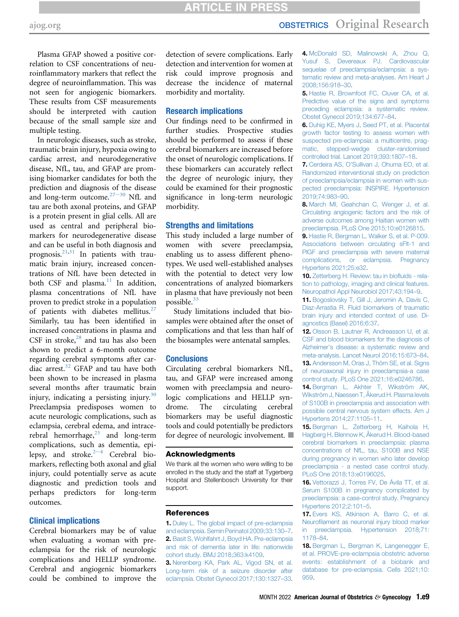## **ARTICLE IN PRESS**

Plasma GFAP showed a positive correlation to CSF concentrations of neuroinflammatory markers that reflect the degree of neuroinflammation. This was not seen for angiogenic biomarkers. These results from CSF measurements should be interpreted with caution because of the small sample size and multiple testing.

In neurologic diseases, such as stroke, traumatic brain injury, hypoxia owing to cardiac arrest, and neurodegenerative disease, NfL, tau, and GFAP are promising biomarker candidates for both the prediction and diagnosis of the disease and long-term outcome. $27-30$  $27-30$  NfL and tau are both axonal proteins, and GFAP is a protein present in glial cells. All are used as central and peripheral biomarkers for neurodegenerative disease and can be useful in both diagnosis and prognosis. $2^{1,31}$  $2^{1,31}$  $2^{1,31}$  In patients with traumatic brain injury, increased concentrations of NfL have been detected in both CSF and plasma. $11$  In addition, plasma concentrations of NfL have proven to predict stroke in a population of patients with diabetes mellitus.<sup>27</sup> Similarly, tau has been identified in increased concentrations in plasma and CSF in stroke, $28$  and tau has also been shown to predict a 6-month outcome regarding cerebral symptoms after car-diac arrest.<sup>[32](#page-9-11)</sup> GFAP and tau have both been shown to be increased in plasma several months after traumatic brain injury, indicating a persisting injury. $30$ Preeclampsia predisposes women to acute neurologic complications, such as eclampsia, cerebral edema, and intracerebral hemorrhage, $25$  and long-term complications, such as dementia, epil[e](#page-8-1)psy, and stroke. $2^{-4}$  Cerebral biomarkers, reflecting both axonal and glial injury, could potentially serve as acute diagnostic and prediction tools and perhaps predictors for long-term outcomes.

#### Clinical implications

Cerebral biomarkers may be of value when evaluating a woman with preeclampsia for the risk of neurologic complications and HELLP syndrome. Cerebral and angiogenic biomarkers could be combined to improve the

detection of severe complications. Early detection and intervention for women at risk could improve prognosis and decrease the incidence of maternal morbidity and mortality.

#### Research implications

Our findings need to be confirmed in further studies. Prospective studies should be performed to assess if these cerebral biomarkers are increased before the onset of neurologic complications. If these biomarkers can accurately reflect the degree of neurologic injury, they could be examined for their prognostic significance in long-term neurologic morbidity.

#### Strengths and limitations

This study included a large number of women with severe preeclampsia, enabling us to assess different phenotypes. We used well-established analyses with the potential to detect very low concentrations of analyzed biomarkers in plasma that have previously not been possible.[33](#page-9-13)

Study limitations included that biosamples were obtained after the onset of complications and that less than half of the biosamples were antenatal samples.

#### **Conclusions**

Circulating cerebral biomarkers NfL, tau, and GFAP were increased among women with preeclampsia and neurologic complications and HELLP syndrome. The circulating cerebral biomarkers may be useful diagnostic tools and could potentially be predictors for degree of neurologic involvement.  $\Box$ 

#### Acknowledgments

We thank all the women who were willing to be enrolled in the study and the staff at Tygerberg Hospital and Stellenbosch University for their support.

#### <span id="page-8-0"></span>References

<span id="page-8-1"></span>1. [Duley L. The global impact of pre-eclampsia](http://refhub.elsevier.com/S0002-9378(22)00165-X/sref1) [and eclampsia. Semin Perinatol 2009;33:130](http://refhub.elsevier.com/S0002-9378(22)00165-X/sref1)–7. 2. [Basit S, Wohlfahrt J, Boyd HA. Pre-eclampsia](http://refhub.elsevier.com/S0002-9378(22)00165-X/sref2) [and risk of dementia later in life: nationwide](http://refhub.elsevier.com/S0002-9378(22)00165-X/sref2) [cohort study. BMJ 2018;363:k4109.](http://refhub.elsevier.com/S0002-9378(22)00165-X/sref2)

3. [Nerenberg KA, Park AL, Vigod SN, et al.](http://refhub.elsevier.com/S0002-9378(22)00165-X/sref3) [Long-term risk of a seizure disorder after](http://refhub.elsevier.com/S0002-9378(22)00165-X/sref3) [eclampsia. Obstet Gynecol 2017;130:1327](http://refhub.elsevier.com/S0002-9378(22)00165-X/sref3)–33. 4. [McDonald SD, Malinowski A, Zhou Q,](http://refhub.elsevier.com/S0002-9378(22)00165-X/sref4) [Yusuf S, Devereaux PJ. Cardiovascular](http://refhub.elsevier.com/S0002-9378(22)00165-X/sref4) [sequelae of preeclampsia/eclampsia: a sys](http://refhub.elsevier.com/S0002-9378(22)00165-X/sref4)[tematic review and meta-analyses. Am Heart J](http://refhub.elsevier.com/S0002-9378(22)00165-X/sref4) [2008;156:918](http://refhub.elsevier.com/S0002-9378(22)00165-X/sref4)–30.

<span id="page-8-2"></span>5. [Hastie R, Brownfoot FC, Cluver CA, et al.](http://refhub.elsevier.com/S0002-9378(22)00165-X/sref5) [Predictive value of the signs and symptoms](http://refhub.elsevier.com/S0002-9378(22)00165-X/sref5) [preceding eclampsia: a systematic review.](http://refhub.elsevier.com/S0002-9378(22)00165-X/sref5) [Obstet Gynecol 2019;134:677](http://refhub.elsevier.com/S0002-9378(22)00165-X/sref5)–84.

<span id="page-8-3"></span>6. [Duhig KE, Myers J, Seed PT, et al. Placental](http://refhub.elsevier.com/S0002-9378(22)00165-X/sref6) [growth factor testing to assess women with](http://refhub.elsevier.com/S0002-9378(22)00165-X/sref6) [suspected pre-eclampsia: a multicentre, prag](http://refhub.elsevier.com/S0002-9378(22)00165-X/sref6)[matic, stepped-wedge cluster-randomised](http://refhub.elsevier.com/S0002-9378(22)00165-X/sref6) [controlled trial. Lancet 2019;393:1807](http://refhub.elsevier.com/S0002-9378(22)00165-X/sref6)–18.

<span id="page-8-4"></span>7. Cerdeira AS, O'[Sullivan J, Ohuma EO, et al.](http://refhub.elsevier.com/S0002-9378(22)00165-X/sref7) [Randomized interventional study on prediction](http://refhub.elsevier.com/S0002-9378(22)00165-X/sref7) [of preeclampsia/eclampsia in women with sus](http://refhub.elsevier.com/S0002-9378(22)00165-X/sref7)[pected preeclampsia: INSPIRE. Hypertension](http://refhub.elsevier.com/S0002-9378(22)00165-X/sref7) [2019;74:983](http://refhub.elsevier.com/S0002-9378(22)00165-X/sref7)–90.

<span id="page-8-5"></span>8. [March MI, Geahchan C, Wenger J, et al.](http://refhub.elsevier.com/S0002-9378(22)00165-X/sref8) [Circulating angiogenic factors and the risk of](http://refhub.elsevier.com/S0002-9378(22)00165-X/sref8) [adverse outcomes among Haitian women with](http://refhub.elsevier.com/S0002-9378(22)00165-X/sref8) [preeclampsia. PLoS One 2015;10:e0126815](http://refhub.elsevier.com/S0002-9378(22)00165-X/sref8).

<span id="page-8-6"></span>9. [Hastie R, Bergman L, Walker S, et al. P-009.](http://refhub.elsevier.com/S0002-9378(22)00165-X/sref9) [Associations between circulating sFlt-1 and](http://refhub.elsevier.com/S0002-9378(22)00165-X/sref9) [PlGF and preeclampsia with severe maternal](http://refhub.elsevier.com/S0002-9378(22)00165-X/sref9) [complications, or eclampsia. Pregnancy](http://refhub.elsevier.com/S0002-9378(22)00165-X/sref9) [Hypertens 2021;25:e32.](http://refhub.elsevier.com/S0002-9378(22)00165-X/sref9)

<span id="page-8-7"></span>10. [Zetterberg H. Review: tau in bio](http://refhub.elsevier.com/S0002-9378(22)00165-X/sref10)fluids - rela[tion to pathology, imaging and clinical features.](http://refhub.elsevier.com/S0002-9378(22)00165-X/sref10) [Neuropathol Appl Neurobiol 2017;43:194](http://refhub.elsevier.com/S0002-9378(22)00165-X/sref10)–9.

<span id="page-8-10"></span>11. [Bogoslovsky T, Gill J, Jeromin A, Davis C,](http://refhub.elsevier.com/S0002-9378(22)00165-X/sref11) [Diaz-Arrastia R. Fluid biomarkers of traumatic](http://refhub.elsevier.com/S0002-9378(22)00165-X/sref11) [brain injury and intended context of use. Di](http://refhub.elsevier.com/S0002-9378(22)00165-X/sref11)[agnostics \(Basel\) 2016;6:37.](http://refhub.elsevier.com/S0002-9378(22)00165-X/sref11)

12. [Olsson B, Lautner R, Andreasson U, et al.](http://refhub.elsevier.com/S0002-9378(22)00165-X/sref12) [CSF and blood biomarkers for the diagnosis of](http://refhub.elsevier.com/S0002-9378(22)00165-X/sref12) Alzheimer'[s disease: a systematic review and](http://refhub.elsevier.com/S0002-9378(22)00165-X/sref12) [meta-analysis. Lancet Neurol 2016;15:673](http://refhub.elsevier.com/S0002-9378(22)00165-X/sref12)–84. 13. [Andersson M, Oras J, Thörn SE, et al. Signs](http://refhub.elsevier.com/S0002-9378(22)00165-X/sref13) [of neuroaxonal injury in preeclampsia-a case](http://refhub.elsevier.com/S0002-9378(22)00165-X/sref13)

<span id="page-8-8"></span>[control study. PLoS One 2021;16:e0246786](http://refhub.elsevier.com/S0002-9378(22)00165-X/sref13). 14. Bergman L. Akhter T. Wikström AK,

[Wikström J, Naessen T, Åkerud H. Plasma levels](http://refhub.elsevier.com/S0002-9378(22)00165-X/sref14) [of S100B in preeclampsia and association with](http://refhub.elsevier.com/S0002-9378(22)00165-X/sref14) [possible central nervous system effects. Am J](http://refhub.elsevier.com/S0002-9378(22)00165-X/sref14) [Hypertens 2014;27:1105](http://refhub.elsevier.com/S0002-9378(22)00165-X/sref14)–11.

15. [Bergman L, Zetterberg H, Kaihola H,](http://refhub.elsevier.com/S0002-9378(22)00165-X/sref15) [Hagberg H, Blennow K, Åkerud H. Blood-based](http://refhub.elsevier.com/S0002-9378(22)00165-X/sref15) [cerebral biomarkers in preeclampsia: plasma](http://refhub.elsevier.com/S0002-9378(22)00165-X/sref15) [concentrations of NfL, tau, S100B and NSE](http://refhub.elsevier.com/S0002-9378(22)00165-X/sref15) [during pregnancy in women who later develop](http://refhub.elsevier.com/S0002-9378(22)00165-X/sref15) [preeclampsia - a nested case control study.](http://refhub.elsevier.com/S0002-9378(22)00165-X/sref15) [PLoS One 2018;13:e0196025](http://refhub.elsevier.com/S0002-9378(22)00165-X/sref15).

16. [Vettorazzi J, Torres FV, De Ávila TT, et al.](http://refhub.elsevier.com/S0002-9378(22)00165-X/sref16) [Serum S100B in pregnancy complicated by](http://refhub.elsevier.com/S0002-9378(22)00165-X/sref16) [preeclampsia: a case-control study. Pregnancy](http://refhub.elsevier.com/S0002-9378(22)00165-X/sref16) [Hypertens 2012;2:101](http://refhub.elsevier.com/S0002-9378(22)00165-X/sref16)–5.

17. [Evers KS, Atkinson A, Barro C, et al.](http://refhub.elsevier.com/S0002-9378(22)00165-X/sref17) Neurofi[lament as neuronal injury blood marker](http://refhub.elsevier.com/S0002-9378(22)00165-X/sref17) [in preeclampsia. Hypertension 2018;71:](http://refhub.elsevier.com/S0002-9378(22)00165-X/sref17) [1178](http://refhub.elsevier.com/S0002-9378(22)00165-X/sref17)–84.

<span id="page-8-9"></span>18. [Bergman L, Bergman K, Langenegger E,](http://refhub.elsevier.com/S0002-9378(22)00165-X/sref18) [et al. PROVE-pre-eclampsia obstetric adverse](http://refhub.elsevier.com/S0002-9378(22)00165-X/sref18) [events: establishment of a biobank and](http://refhub.elsevier.com/S0002-9378(22)00165-X/sref18) [database for pre-eclampsia. Cells 2021;10:](http://refhub.elsevier.com/S0002-9378(22)00165-X/sref18) [959.](http://refhub.elsevier.com/S0002-9378(22)00165-X/sref18)